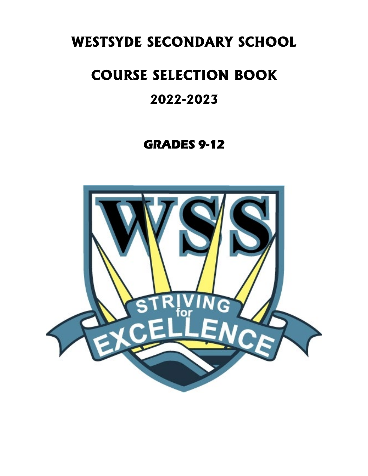# **WESTSYDE SECONDARY SCHOOL**

# **COURSE SELECTION BOOK**

# **2022-2023**

# **GRADES 9-12**

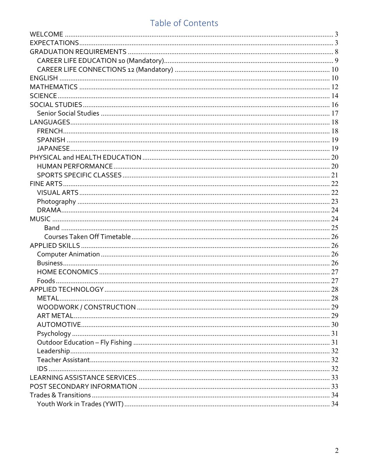# Table of Contents

| MFTAI | $\dots 28$ |
|-------|------------|
|       |            |
|       |            |
|       |            |
|       |            |
|       |            |
|       |            |
|       |            |
|       |            |
|       |            |
|       |            |
|       |            |
|       |            |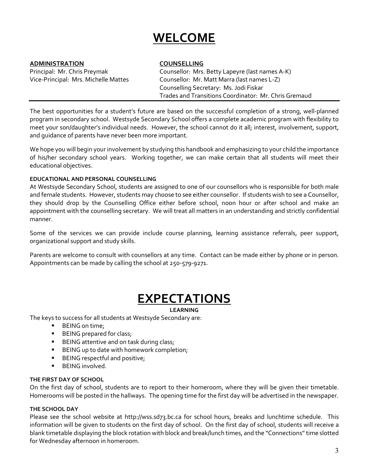# **WELCOME**

### <span id="page-2-0"></span>**ADMINISTRATION COUNSELLING**

Principal: Mr. Chris Preymak Counsellor: Mrs. Betty Lapeyre (last names A-K) Vice-Principal: Mrs. Michelle Mattes Counsellor: Mr. Matt Marra (last names L-Z) Counselling Secretary: Ms. Jodi Fiskar Trades and Transitions Coordinator: Mr. Chris Gremaud

The best opportunities for a student's future are based on the successful completion of a strong, well-planned program in secondary school. Westsyde Secondary School offers a complete academic program with flexibility to meet your son/daughter's individual needs. However, the school cannot do it all; interest, involvement, support, and guidance of parents have never been more important.

We hope you will begin your involvement by studying this handbook and emphasizing to your child the importance of his/her secondary school years. Working together, we can make certain that all students will meet their educational objectives.

### **EDUCATIONAL AND PERSONAL COUNSELLING**

At Westsyde Secondary School, students are assigned to one of our counsellors who is responsible for both male and female students. However, students may choose to see either counsellor. If students wish to see a Counsellor, they should drop by the Counselling Office either before school, noon hour or after school and make an appointment with the counselling secretary. We will treat all matters in an understanding and strictly confidential manner.

Some of the services we can provide include course planning, learning assistance referrals, peer support, organizational support and study skills.

Parents are welcome to consult with counsellors at any time. Contact can be made either by phone or in person. Appointments can be made by calling the school at 250-579-9271.

# **EXPECTATIONS**

### **LEARNING**

<span id="page-2-1"></span>The keys to success for all students at Westsyde Secondary are:

- BEING on time;
- **BEING** prepared for class;
- **BEING attentive and on task during class;**
- BEING up to date with homework completion;
- BEING respectful and positive;
- **BEING** involved.

### **THE FIRST DAY OF SCHOOL**

On the first day of school, students are to report to their homeroom, where they will be given their timetable. Homerooms will be posted in the hallways. The opening time for the first day will be advertised in the newspaper.

### **THE SCHOOL DAY**

Please see the school website at http://wss.sd73.bc.ca for school hours, breaks and lunchtime schedule. This information will be given to students on the first day of school. On the first day of school, students will receive a blank timetable displaying the block rotation with block and break/lunch times, and the "Connections"time slotted for Wednesday afternoon in homeroom.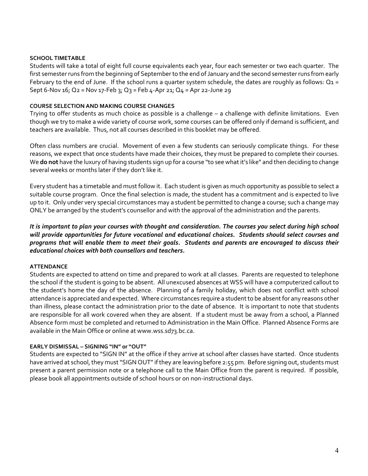### **SCHOOL TIMETABLE**

Students will take a total of eight full course equivalents each year, four each semester or two each quarter. The first semester runs from the beginning of September to the end of January and the second semester runs from early February to the end of June. If the school runs a quarter system schedule, the dates are roughly as follows:  $Q_1$  = Sept 6-Nov 16; Q2 = Nov 17-Feb 3; Q3 = Feb 4-Apr 21; Q4 = Apr 22-June 29

### **COURSE SELECTION AND MAKING COURSE CHANGES**

Trying to offer students as much choice as possible is a challenge – a challenge with definite limitations. Even though we try to make a wide variety of course work, some courses can be offered only if demand is sufficient, and teachers are available. Thus, not all courses described in this booklet may be offered.

Often class numbers are crucial. Movement of even a few students can seriously complicate things. For these reasons, we expect that once students have made their choices, they must be prepared to complete their courses. We **do not** have the luxury of having students sign up for a course "to see what it's like" and then deciding to change several weeks or months later if they don't like it.

Every student has a timetable and must follow it. Each student is given as much opportunity as possible to select a suitable course program. Once the final selection is made, the student has a commitment and is expected to live up to it. Only under very special circumstances may a student be permitted to change a course; such a change may ONLY be arranged by the student's counsellor and with the approval of the administration and the parents.

*It is important to plan your courses with thought and consideration. The courses you select during high school will provide opportunities for future vocational and educational choices. Students should select courses and programs that will enable them to meet their goals. Students and parents are encouraged to discuss their educational choices with both counsellors and teachers.*

### **ATTENDANCE**

Students are expected to attend on time and prepared to work at all classes. Parents are requested to telephone the school if the student is going to be absent. All unexcused absences at WSS will have a computerized callout to the student's home the day of the absence. Planning of a family holiday, which does not conflict with school attendance is appreciated and expected. Where circumstances require a student to be absent for any reasons other than illness, please contact the administration prior to the date of absence. It is important to note that students are responsible for all work covered when they are absent. If a student must be away from a school, a Planned Absence form must be completed and returned to Administration in the Main Office. Planned Absence Forms are available in the Main Office or online at www.wss.sd73.bc.ca.

### **EARLY DISMISSAL – SIGNING "IN" or "OUT"**

Students are expected to "SIGN IN" at the office if they arrive at school after classes have started. Once students have arrived at school, they must "SIGN OUT" if they are leaving before 2:55 pm. Before signing out, students must present a parent permission note or a telephone call to the Main Office from the parent is required. If possible, please book all appointments outside of school hours or on non-instructional days.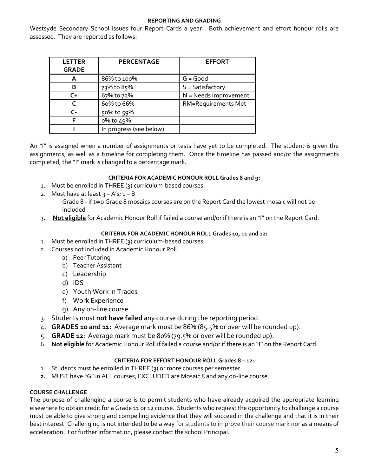### **REPORTING AND GRADING**

Westsyde Secondary School issues four Report Cards a year. Both achievement and effort honour rolls are assessed. They are reported as follows:

| <b>LETTER</b><br><b>GRADE</b> | <b>PERCENTAGE</b>       | <b>EFFORT</b>              |
|-------------------------------|-------------------------|----------------------------|
| A                             | 86% to 100%             | $G = Good$                 |
| в                             | 73% to 85%              | $S = Satisfactory$         |
| C+                            | 67% to 72%              | N = Needs Improvement      |
|                               | 60% to 66%              | <b>RM=Requirements Met</b> |
| C-                            | 50% to 59%              |                            |
|                               | 0% to 49%               |                            |
|                               | In progress (see below) |                            |

An "I" is assigned when a number of assignments or tests have yet to be completed. The student is given the assignments, as well as a timeline for completing them. Once the timeline has passed and/or the assignments completed, the "I" mark is changed to a percentage mark.

### **CRITERIA FOR ACADEMIC HONOUR ROLL Grades 8 and 9:**

- 1. Must be enrolled in THREE (3) curriculum-based courses.
- 2. Must have at least  $3 A's$ ;  $1 B$ Grade 8 - if two Grade 8 mosaics courses are on the Report Card the lowest mosaic will not be included
- 3. **Not eligible** for Academic Honour Roll if failed a course and/or if there is an "I" on the Report Card.

### **CRITERIA FOR ACADEMIC HONOUR ROLL Grades 10, 11 and 12:**

- 1. Must be enrolled in THREE (3) curriculum-based courses.
- 2. Courses not included in Academic Honour Roll.
	- a) Peer Tutoring
	- b) Teacher Assistant
	- c) Leadership
	- d) IDS
	- e) Youth Work in Trades
	- f) Work Experience
	- g) Any on-line course.
- 3. Students must **not have failed** any course during the reporting period.
- 4. **GRADES 10 and 11:** Average mark must be 86% (85.5% or over will be rounded up).
- 5. **GRADE 12**: Average mark must be 80% (79.5% or over will be rounded up).
- 6. **Not eligible** for Academic Honour Roll if failed a course and/or if there is an "I" on the Report Card.

### **CRITERIA FOR EFFORT HONOUR ROLL Grades 8 – 12:**

- 1. Students must be enrolled in THREE (3) or more courses per semester.
- **2.** MUST have "G" in ALL courses; EXCLUDED are Mosaic 8 and any on-line course.

### **COURSE CHALLENGE**

The purpose of challenging a course is to permit students who have already acquired the appropriate learning elsewhere to obtain credit for a Grade 11 or 12 course. Students who request the opportunity to challenge a course must be able to give strong and compelling evidence that they will succeed in the challenge and that it is in their best interest. Challenging is not intended to be a way for students to improve their course mark nor as a means of acceleration. For further information, please contact the school Principal.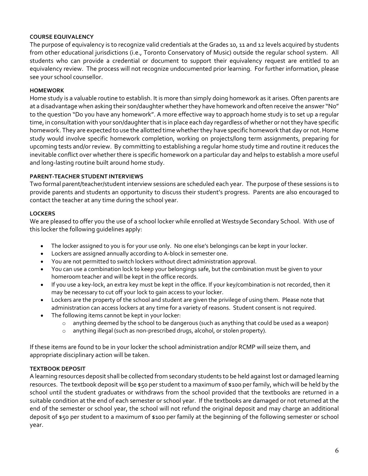### **COURSE EQUIVALENCY**

The purpose of equivalency is to recognize valid credentials at the Grades 10, 11 and 12 levels acquired by students from other educational jurisdictions (i.e., Toronto Conservatory of Music) outside the regular school system. All students who can provide a credential or document to support their equivalency request are entitled to an equivalency review. The process will not recognize undocumented prior learning. For further information, please see your school counsellor.

### **HOMEWORK**

Home study is a valuable routine to establish. It is more than simply doing homework as it arises. Often parents are at a disadvantage when asking their son/daughter whether they have homework and often receive the answer "No" to the question "Do you have any homework". A more effective way to approach home study is to set up a regular time, in consultation with your son/daughter that is in place each day regardless of whether or not they have specific homework. They are expected to use the allotted time whether they have specific homework that day or not. Home study would involve specific homework completion, working on projects/long term assignments, preparing for upcoming tests and/or review. By committing to establishing a regular home study time and routine it reduces the inevitable conflict over whether there is specific homework on a particular day and helps to establish a more useful and long-lasting routine built around home study.

### **PARENT-TEACHER STUDENT INTERVIEWS**

Two formal parent/teacher/student interview sessions are scheduled each year. The purpose of these sessions is to provide parents and students an opportunity to discuss their student's progress. Parents are also encouraged to contact the teacher at any time during the school year.

### **LOCKERS**

We are pleased to offer you the use of a school locker while enrolled at Westsyde Secondary School. With use of this locker the following guidelines apply:

- The locker assigned to you is for your use only. No one else's belongings can be kept in your locker.
- Lockers are assigned annually according to A-block in semester one.
- You are not permitted to switch lockers without direct administration approval.
- You can use a combination lock to keep your belongings safe, but the combination must be given to your homeroom teacher and will be kept in the office records.
- If you use a key-lock, an extra key must be kept in the office. If your key/combination is not recorded, then it may be necessary to cut off your lock to gain access to your locker.
- Lockers are the property of the school and student are given the privilege of using them. Please note that administration can access lockers at any time for a variety of reasons. Student consent is not required.
- The following items cannot be kept in your locker:
	- o anything deemed by the school to be dangerous (such as anything that could be used as a weapon)
	- o anything illegal (such as non-prescribed drugs, alcohol, or stolen property).

If these items are found to be in your locker the school administration and/or RCMP will seize them, and appropriate disciplinary action will be taken.

### **TEXTBOOK DEPOSIT**

A learning resources deposit shall be collected from secondary students to be held against lost or damaged learning resources. The textbook deposit will be \$50 per student to a maximum of \$100 per family, which will be held by the school until the student graduates or withdraws from the school provided that the textbooks are returned in a suitable condition at the end of each semester or school year. If the textbooks are damaged or not returned at the end of the semester or school year, the school will not refund the original deposit and may charge an additional deposit of \$50 per student to a maximum of \$100 per family at the beginning of the following semester or school year.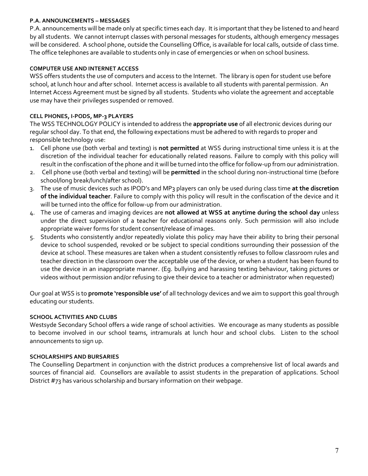### **P.A. ANNOUNCEMENTS – MESSAGES**

P.A. announcements will be made only at specific times each day. It is important that they be listened to and heard by all students. We cannot interrupt classes with personal messages for students, although emergency messages will be considered. A school phone, outside the Counselling Office, is available for local calls, outside of class time. The office telephones are available to students only in case of emergencies or when on school business.

### **COMPUTER USE AND INTERNET ACCESS**

WSS offers students the use of computers and access to the Internet. The library is open for student use before school, at lunch hour and after school. Internet access is available to all students with parental permission. An Internet Access Agreement must be signed by all students. Students who violate the agreement and acceptable use may have their privileges suspended or removed.

### **CELL PHONES, I-PODS, MP-3 PLAYERS**

The WSS TECHNOLOGY POLICY is intended to address the **appropriate use** of all electronic devices during our regular school day. To that end, the following expectations must be adhered to with regards to proper and responsible technology use:

- 1. Cell phone use (both verbal and texting) is **not permitted** at WSS during instructional time unless it is at the discretion of the individual teacher for educationally related reasons. Failure to comply with this policy will result in the confiscation of the phone and it will be turned into the office for follow-up from our administration.
- 2. Cell phone use (both verbal and texting) will be **permitted** in the school during non-instructional time (before school/long break/lunch/after school).
- 3. The use of music devices such as IPOD's and MP3 players can only be used during class time **at the discretion of the individual teacher**. Failure to comply with this policy will result in the confiscation of the device and it will be turned into the office for follow-up from our administration.
- 4. The use of cameras and imaging devices are **not allowed at WSS at anytime during the school day** unless under the direct supervision of a teacher for educational reasons only. Such permission will also include appropriate waiver forms for student consent/release of images.
- 5. Students who consistently and/or repeatedly violate this policy may have their ability to bring their personal device to school suspended, revoked or be subject to special conditions surrounding their possession of the device at school. These measures are taken when a student consistently refuses to follow classroom rules and teacher direction in the classroom over the acceptable use of the device, or when a student has been found to use the device in an inappropriate manner. (Eg. bullying and harassing texting behaviour, taking pictures or videos without permission and/or refusing to give their device to a teacher or administrator when requested)

Our goal at WSS is to **promote 'responsible use'** of all technology devices and we aim to support this goal through educating our students.

### **SCHOOL ACTIVITIES AND CLUBS**

Westsyde Secondary School offers a wide range of school activities. We encourage as many students as possible to become involved in our school teams, intramurals at lunch hour and school clubs. Listen to the school announcements to sign up.

### **SCHOLARSHIPS AND BURSARIES**

The Counselling Department in conjunction with the district produces a comprehensive list of local awards and sources of financial aid. Counsellors are available to assist students in the preparation of applications. School District #73 has various scholarship and bursary information on their webpage.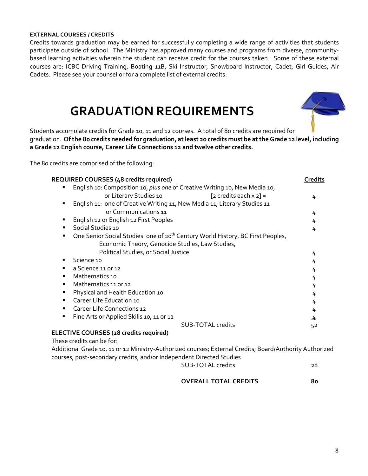### **EXTERNAL COURSES / CREDITS**

Credits towards graduation may be earned for successfully completing a wide range of activities that students participate outside of school. The Ministry has approved many courses and programs from diverse, communitybased learning activities wherein the student can receive credit for the courses taken. Some of these external courses are: ICBC Driving Training, Boating 11B, Ski Instructor, Snowboard Instructor, Cadet, Girl Guides, Air Cadets. Please see your counsellor for a complete list of external credits.

# **GRADUATION REQUIREMENTS**



<span id="page-7-0"></span>Students accumulate credits for Grade 10, 11 and 12 courses. A total of 80 credits are required for graduation. **Of the 80 credits needed for graduation, at least 20 credits must be at the Grade 12 level, including a Grade 12 English course, Career Life Connections 12 and twelve other credits.** 

The 80 credits are comprised of the following:

| <b>REQUIRED COURSES (48 credits required)</b>                                                    | <b>Credits</b> |
|--------------------------------------------------------------------------------------------------|----------------|
| English 10: Composition 10, plus one of Creative Writing 10, New Media 10,                       |                |
| or Literary Studies 10<br>[2 credits each $x$ 2] =                                               | 4              |
| English 11: one of Creative Writing 11, New Media 11, Literary Studies 11                        |                |
| or Communications 11                                                                             | 4              |
| English 12 or English 12 First Peoples                                                           | 4              |
| Social Studies 10<br>٠                                                                           | 4              |
| One Senior Social Studies: one of 20 <sup>th</sup> Century World History, BC First Peoples,<br>٠ |                |
| Economic Theory, Genocide Studies, Law Studies,                                                  |                |
| Political Studies, or Social Justice                                                             | 4              |
| Science 10                                                                                       | 4              |
| a Science 11 or 12<br>٠                                                                          | 4              |
| Mathematics 10<br>$\blacksquare$                                                                 | 4              |
| Mathematics 11 or 12<br>$\blacksquare$                                                           | 4              |
| Physical and Health Education 10                                                                 | 4              |
| Career Life Education 10<br>٠                                                                    | 4              |
| Career Life Connections 12<br>$\blacksquare$                                                     | 4              |
| Fine Arts or Applied Skills 10, 11 or 12<br>٠                                                    | 4              |
| <b>SUB-TOTAL credits</b>                                                                         | 52             |
| ELECTIVE COURSES (28 credits required)                                                           |                |
| These credits can be for:                                                                        |                |

Additional Grade 10, 11 or 12 Ministry-Authorized courses; External Credits; Board/Authority Authorized courses; post-secondary credits, and/or Independent Directed Studies

SUB-TOTAL credits 28

**OVERALL TOTAL CREDITS 80**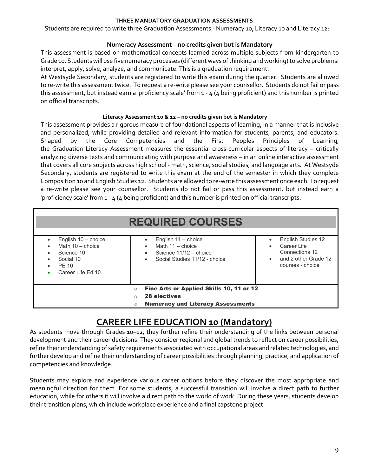### **THREE MANDATORY GRADUATION ASSESSMENTS**

Students are required to write three Graduation Assessments - Numeracy 10, Literacy 10 and Literacy 12:

### **Numeracy Assessment – no credits given but is Mandatory**

This assessment is based on mathematical concepts learned across multiple subjects from kindergarten to Grade 10. Students will use five numeracy processes (different ways of thinking and working) to solve problems: interpret, apply, solve, analyze, and communicate. This is a graduation requirement.

At Westsyde Secondary, students are registered to write this exam during the quarter. Students are allowed to re-write this assessment twice. To request a re-write please see your counsellor. Students do not fail or pass this assessment, but instead earn a 'proficiency scale' from 1 - 4 (4 being proficient) and this number is printed on official transcripts.

### **Literacy Assessment 10 & 12 – no credits given but is Mandatory**

This assessment provides a rigorous measure of foundational aspects of learning, in a manner that is inclusive and personalized, while providing detailed and relevant information for students, parents, and educators. Shaped by the Core Competencies and the First Peoples Principles of Learning, the Graduation Literacy Assessment measures the essential cross-curricular aspects of literacy – critically analyzing diverse texts and communicating with purpose and awareness – in an online interactive assessment that covers all core subjects across high school - math, science, social studies, and language arts. At Westsyde Secondary, students are registered to write this exam at the end of the semester in which they complete Composition 10 and English Studies 12. Students are allowed to re-write this assessment once each. To request a re-write please see your counsellor. Students do not fail or pass this assessment, but instead earn a 'proficiency scale' from 1 - 4 (4 being proficient) and this number is printed on official transcripts.

|                                                                                                                                   | <b>REQUIRED COURSES</b>                                                                                |                                                                                                 |
|-----------------------------------------------------------------------------------------------------------------------------------|--------------------------------------------------------------------------------------------------------|-------------------------------------------------------------------------------------------------|
| English 10 - choice<br>Math $10 -$ choice<br>Science 10<br>Social 10<br>PF 10<br>Career Life Ed 10                                | English $11 -$ choice<br>Math $11 -$ choice<br>Science 11/12 - choice<br>Social Studies 11/12 - choice | English Studies 12<br>Career Life<br>Connections 12<br>and 2 other Grade 12<br>courses - choice |
| Fine Arts or Applied Skills 10, 11 or 12<br>$\circ$<br><b>28 electives</b><br><b>Numeracy and Literacy Assessments</b><br>$\circ$ |                                                                                                        |                                                                                                 |

# **CAREER LIFE EDUCATION 10 (Mandatory)**

<span id="page-8-0"></span>As students move through Grades 10–12, they further refine their understanding of the links between personal development and their career decisions. They consider regional and global trends to reflect on career possibilities, refine their understanding of safety requirements associated with occupational areas and related technologies, and further develop and refine their understanding of career possibilities through planning, practice, and application of competencies and knowledge.

Students may explore and experience various career options before they discover the most appropriate and meaningful direction for them. For some students, a successful transition will involve a direct path to further education, while for others it will involve a direct path to the world of work. During these years, students develop their transition plans, which include workplace experience and a final capstone project.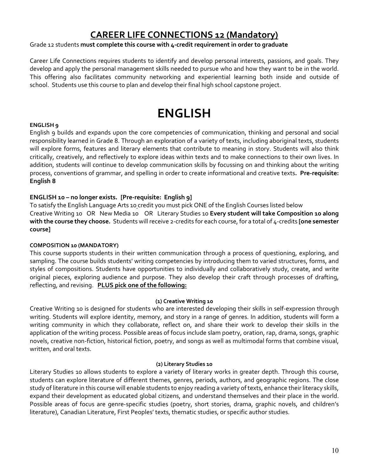# **CAREER LIFE CONNECTIONS 12 (Mandatory)**

### <span id="page-9-0"></span>Grade 12 students **must complete this course with 4-credit requirement in order to graduate**

Career Life Connections requires students to identify and develop personal interests, passions, and goals. They develop and apply the personal management skills needed to pursue who and how they want to be in the world. This offering also facilitates community networking and experiential learning both inside and outside of school. Students use this course to plan and develop their final high school capstone project.

# **ENGLISH**

### <span id="page-9-1"></span>**ENGLISH 9**

English 9 builds and expands upon the core competencies of communication, thinking and personal and social responsibility learned in Grade 8. Through an exploration of a variety of texts, including aboriginal texts, students will explore forms, features and literary elements that contribute to meaning in story. Students will also think critically, creatively, and reflectively to explore ideas within texts and to make connections to their own lives. In addition, students will continue to develop communication skills by focussing on and thinking about the writing process, conventions of grammar, and spelling in order to create informational and creative texts**. Pre-requisite: English 8**

### **ENGLISH 10 – no longer exists. [Pre-requisite: English 9]**

To satisfy the English Language Arts 10 credit you must pick ONE of the English Courses listed below Creative Writing 10 OR New Media 10 OR Literary Studies 10 **Every student will take Composition 10 along with the course they choose.** Students will receive 2-credits for each course, for a total of 4-credits **[one semester course]**

### **COMPOSITION 10 (MANDATORY)**

This course supports students in their written communication through a process of questioning, exploring, and sampling. The course builds students' writing competencies by introducing them to varied structures, forms, and styles of compositions. Students have opportunities to individually and collaboratively study, create, and write original pieces, exploring audience and purpose. They also develop their craft through processes of drafting, reflecting, and revising. **PLUS pick one of the following:**

### **(1) Creative Writing 10**

Creative Writing 10 is designed for students who are interested developing their skills in self-expression through writing. Students will explore identity, memory, and story in a range of genres. In addition, students will form a writing community in which they collaborate, reflect on, and share their work to develop their skills in the application of the writing process. Possible areas of focus include slam poetry, oration, rap, drama, songs, graphic novels, creative non-fiction, historical fiction, poetry, and songs as well as multimodal forms that combine visual, written, and oral texts.

### **(2) Literary Studies 10**

Literary Studies 10 allows students to explore a variety of literary works in greater depth. Through this course, students can explore literature of different themes, genres, periods, authors, and geographic regions. The close study of literature in this course will enable students to enjoy reading a variety of texts, enhance their literacy skills, expand their development as educated global citizens, and understand themselves and their place in the world. Possible areas of focus are genre-specific studies (poetry, short stories, drama, graphic novels, and children's literature), Canadian Literature, First Peoples' texts, thematic studies, or specific author studies.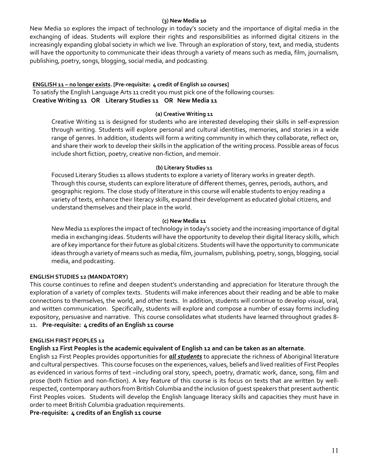### **(3) New Media 10**

New Media 10 explores the impact of technology in today's society and the importance of digital media in the exchanging of ideas. Students will explore their rights and responsibilities as informed digital citizens in the increasingly expanding global society in which we live. Through an exploration of story, text, and media, students will have the opportunity to communicate their ideas through a variety of means such as media, film, journalism, publishing, poetry, songs, blogging, social media, and podcasting.

### **ENGLISH 11 – no longer exists. [Pre-requisite: 4 credit of English 10 courses]**

To satisfy the English Language Arts 11 credit you must pick one of the following courses: **Creative Writing 11 OR Literary Studies 11 OR New Media 11**

### **(a) Creative Writing 11**

Creative Writing 11 is designed for students who are interested developing their skills in self-expression through writing. Students will explore personal and cultural identities, memories, and stories in a wide range of genres. In addition, students will form a writing community in which they collaborate, reflect on, and share their work to develop their skills in the application of the writing process. Possible areas of focus include short fiction, poetry, creative non-fiction, and memoir.

### **(b) Literary Studies 11**

Focused Literary Studies 11 allows students to explore a variety of literary works in greater depth. Through this course, students can explore literature of different themes, genres, periods, authors, and geographic regions. The close study of literature in this course will enable students to enjoy reading a variety of texts, enhance their literacy skills, expand their development as educated global citizens, and understand themselves and their place in the world.

### **(c) New Media 11**

New Media 11 explores the impact of technology in today's society and the increasing importance of digital media in exchanging ideas. Students will have the opportunity to develop their digital literacy skills, which are of key importance for their future as global citizens. Students will have the opportunity to communicate ideas through a variety of means such as media, film, journalism, publishing, poetry, songs, blogging, social media, and podcasting.

### **ENGLISH STUDIES 12 (MANDATORY)**

This course continues to refine and deepen student's understanding and appreciation for literature through the exploration of a variety of complex texts. Students will make inferences about their reading and be able to make connections to themselves, the world, and other texts. In addition, students will continue to develop visual, oral, and written communication. Specifically, students will explore and compose a number of essay forms including expository, persuasive and narrative. This course consolidates what students have learned throughout grades 8- 11. **Pre-requisite: 4 credits of an English 11 course**

### **ENGLISH FIRST PEOPLES 12**

### **English 12 First Peoples is the academic equivalent of English 12 and can be taken as an alternate**.

English 12 First Peoples provides opportunities for *all students* to appreciate the richness of Aboriginal literature and cultural perspectives. This course focuses on the experiences, values, beliefs and lived realities of First Peoples as evidenced in various forms of text –including oral story, speech, poetry, dramatic work, dance, song, film and prose (both fiction and non-fiction). A key feature of this course is its focus on texts that are written by wellrespected, contemporary authors from British Columbia and the inclusion of guest speakers that present authentic First Peoples voices. Students will develop the English language literacy skills and capacities they must have in order to meet British Columbia graduation requirements.

**Pre-requisite: 4 credits of an English 11 course**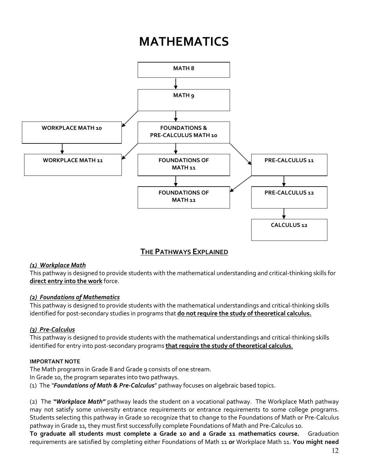# **MATHEMATICS**

<span id="page-11-0"></span>

### **THE PATHWAYS EXPLAINED**

### *(1) Workplace Math*

This pathway is designed to provide students with the mathematical understanding and critical-thinking skills for **direct entry into the work** force.

### *(2) Foundations of Mathematics*

This pathway is designed to provide students with the mathematical understandings and critical-thinking skills identified for post-secondary studies in programs that **do not require the study of theoretical calculus.**

### *(3) Pre-Calculus*

This pathway is designed to provide students with the mathematical understandings and critical-thinking skills identified for entry into post-secondary programs **that require the study of theoretical calculus**.

### **IMPORTANT NOTE**

The Math programs in Grade 8 and Grade 9 consists of one stream.

In Grade 10, the program separates into two pathways.

(1) The *"Foundations of Math & Pre-Calculus*" pathway focuses on algebraic based topics.

(2) The *"Workplace Math"* pathway leads the student on a vocational pathway. The Workplace Math pathway may not satisfy some university entrance requirements or entrance requirements to some college programs. Students selecting this pathway in Grade 10 recognize that to change to the Foundations of Math or Pre-Calculus pathway in Grade 11, they must first successfully complete Foundations of Math and Pre-Calculus 10.

**To graduate all students must complete a Grade 10 and a Grade 11 mathematics course.** Graduation requirements are satisfied by completing either Foundations of Math 11 **or** Workplace Math 11. **You might need**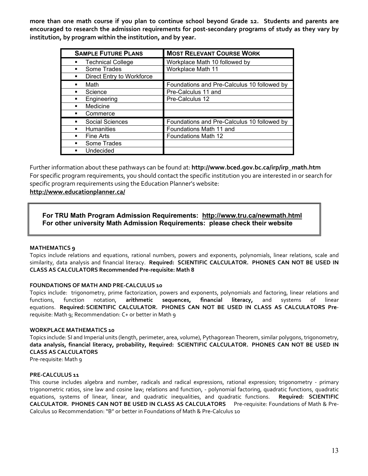**more than one math course if you plan to continue school beyond Grade 12. Students and parents are encouraged to research the admission requirements for post-secondary programs of study as they vary by institution, by program within the institution, and by year.** 

| <b>SAMPLE FUTURE PLANS</b>        | <b>MOST RELEVANT COURSE WORK</b>            |
|-----------------------------------|---------------------------------------------|
| <b>Technical College</b>          | Workplace Math 10 followed by               |
| Some Trades                       | Workplace Math 11                           |
| Direct Entry to Workforce<br>٠    |                                             |
| Math<br>$\blacksquare$            | Foundations and Pre-Calculus 10 followed by |
| Science                           | Pre-Calculus 11 and                         |
| Engineering                       | Pre-Calculus 12                             |
| Medicine                          |                                             |
| Commerce                          |                                             |
| Social Sciences<br>$\blacksquare$ | Foundations and Pre-Calculus 10 followed by |
| <b>Humanities</b>                 | Foundations Math 11 and                     |
| <b>Fine Arts</b>                  | <b>Foundations Math 12</b>                  |
| Some Trades                       |                                             |
| Undecided                         |                                             |

Further information about these pathways can be found at: **[http://www.bced.gov.bc.ca/irp/irp\\_math.htm](http://www.bced.gov.bc.ca/irp/irp_math.htm)** For specific program requirements, you should contact the specific institution you are interested in or search for specific program requirements using the Education Planner's website:

### **<http://www.educationplanner.ca/>**

### **For TRU Math Program Admission Requirements: <http://www.tru.ca/newmath.html> For other university Math Admission Requirements: please check their website**

### **MATHEMATICS 9**

Topics include relations and equations, rational numbers, powers and exponents, polynomials, linear relations, scale and similarity, data analysis and financial literacy. **Required: SCIENTIFIC CALCULATOR. PHONES CAN NOT BE USED IN CLASS AS CALCULATORS Recommended Pre-requisite: Math 8**

### **FOUNDATIONS OF MATH AND PRE-CALCULUS 10**

Topics include: trigonometry, prime factorization, powers and exponents, polynomials and factoring, linear relations and functions, function notation, **arithmetic sequences, financial literacy,** and systems of linear equations. **Required: SCIENTIFIC CALCULATOR. PHONES CAN NOT BE USED IN CLASS AS CALCULATORS Pre**requisite: Math 9; Recommendation: C+ or better in Math 9

### **WORKPLACE MATHEMATICS 10**

Topics include: SI and Imperial units (length, perimeter, area, volume), Pythagorean Theorem, similar polygons, trigonometry, **data analysis, financial literacy, probability, Required: SCIENTIFIC CALCULATOR. PHONES CAN NOT BE USED IN CLASS AS CALCULATORS**

Pre-requisite: Math 9

### **PRE-CALCULUS 11**

This course includes algebra and number, radicals and radical expressions, rational expression; trigonometry - primary trigonometric ratios, sine law and cosine law; relations and function, - polynomial factoring, quadratic functions, quadratic equations, systems of linear, linear, and quadratic inequalities, and quadratic functions. **Required: SCIENTIFIC CALCULATOR. PHONES CAN NOT BE USED IN CLASS AS CALCULATORS** Pre-requisite: Foundations of Math & Pre-Calculus 10 Recommendation: "B" or better in Foundations of Math & Pre-Calculus 10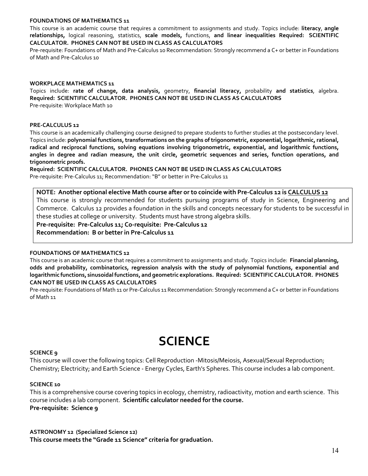### **FOUNDATIONS OF MATHEMATICS 11**

This course is an academic course that requires a commitment to assignments and study. Topics include: **literacy**, **angle relationships,** logical reasoning, statistics, **scale models,** functions, **and linear inequalities Required: SCIENTIFIC CALCULATOR. PHONES CAN NOT BE USED IN CLASS AS CALCULATORS**

Pre-requisite: Foundations of Math and Pre-Calculus 10 Recommendation: Strongly recommend a C+ or better in Foundations of Math and Pre-Calculus 10

### **WORKPLACE MATHEMATICS 11**

Topics include: **rate of change, data analysis,** geometry, **financial literacy,** probability **and statistics**, algebra. **Required: SCIENTIFIC CALCULATOR. PHONES CAN NOT BE USED IN CLASS AS CALCULATORS** Pre-requisite: Workplace Math 10

### **PRE-CALCULUS 12**

This course is an academically challenging course designed to prepare students to further studies at the postsecondary level. Topics include: **polynomial functions, transformations on the graphs of trigonometric, exponential, logarithmic, rational, radical and reciprocal functions, solving equations involving trigonometric, exponential, and logarithmic functions, angles in degree and radian measure, the unit circle, geometric sequences and series, function operations, and trigonometric proofs.**

**Required: SCIENTIFIC CALCULATOR. PHONES CAN NOT BE USED IN CLASS AS CALCULATORS** Pre-requisite: Pre-Calculus 11; Recommendation: "B" or better in Pre-Calculus 11

### **NOTE: Another optional elective Math course after or to coincide with Pre-Calculus 12 is CALCULUS 12**

This course is strongly recommended for students pursuing programs of study in Science, Engineering and Commerce. Calculus 12 provides a foundation in the skills and concepts necessary for students to be successful in these studies at college or university. Students must have strong algebra skills.

**Pre-requisite: Pre-Calculus 11; Co-requisite: Pre-Calculus 12**

**Recommendation: B or better in Pre-Calculus 11**

### **FOUNDATIONS OF MATHEMATICS 12**

This course is an academic course that requires a commitment to assignments and study. Topics include: **Financial planning, odds and probability, combinatorics, regression analysis with the study of polynomial functions, exponential and logarithmic functions, sinusoidal functions, and geometric explorations. Required: SCIENTIFIC CALCULATOR. PHONES CAN NOT BE USED IN CLASS AS CALCULATORS**

Pre-requisite: Foundations of Math 11 or Pre-Calculus 11 Recommendation: Strongly recommend a C+ or better in Foundations of Math 11

# **SCIENCE**

### <span id="page-13-0"></span>**SCIENCE 9**

This course will cover the following topics: Cell Reproduction -Mitosis/Meiosis, Asexual/Sexual Reproduction; Chemistry; Electricity; and Earth Science - Energy Cycles, Earth's Spheres. This course includes a lab component.

### **SCIENCE 10**

This is a comprehensive course covering topics in ecology, chemistry, radioactivity, motion and earth science. This course includes a lab component. **Scientific calculator needed for the course. Pre-requisite: Science 9**

### **ASTRONOMY 12 (Specialized Science 12)**

**This course meets the "Grade 11 Science" criteria for graduation.**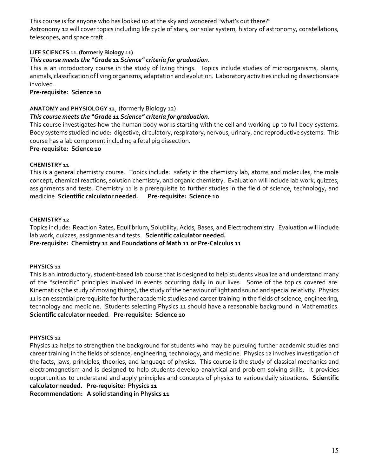This course is for anyone who has looked up at the sky and wondered "what's out there?" Astronomy 12 will cover topics including life cycle of stars, our solar system, history of astronomy, constellations, telescopes, and space craft.

### **LIFE SCIENCES 11 (formerly Biology 11)**

### *This course meets the "Grade 11 Science" criteria for graduation*.

This is an introductory course in the study of living things. Topics include studies of microorganisms, plants, animals, classification of living organisms, adaptation and evolution. Laboratory activities including dissections are involved.

### **Pre-requisite: Science 10**

### **ANATOMY and PHYSIOLOGY 12** (formerly Biology 12)

### *This course meets the "Grade 11 Science" criteria for graduation*.

This course investigates how the human body works starting with the cell and working up to full body systems. Body systems studied include: digestive, circulatory, respiratory, nervous, urinary, and reproductive systems. This course has a lab component including a fetal pig dissection.

### **Pre-requisite: Science 10**

### **CHEMISTRY 11**

This is a general chemistry course. Topics include: safety in the chemistry lab, atoms and molecules, the mole concept, chemical reactions, solution chemistry, and organic chemistry. Evaluation will include lab work, quizzes, assignments and tests. Chemistry 11 is a prerequisite to further studies in the field of science, technology, and medicine. **Scientific calculator needed. Pre-requisite: Science 10** 

### **CHEMISTRY 12**

Topics include: Reaction Rates, Equilibrium, Solubility, Acids, Bases, and Electrochemistry. Evaluation will include lab work, quizzes, assignments and tests. **Scientific calculator needed.**

### **Pre-requisite: Chemistry 11 and Foundations of Math 11 or Pre-Calculus 11**

### **PHYSICS 11**

This is an introductory, student-based lab course that is designed to help students visualize and understand many of the "scientific" principles involved in events occurring daily in our lives. Some of the topics covered are: Kinematics (the study of moving things), the study of the behaviour of light and sound and special relativity. Physics 11 is an essential prerequisite for further academic studies and career training in the fields of science, engineering, technology and medicine. Students selecting Physics 11 should have a reasonable background in Mathematics. **Scientific calculator needed**. **Pre-requisite: Science 10** 

### **PHYSICS 12**

Physics 12 helps to strengthen the background for students who may be pursuing further academic studies and career training in the fields of science, engineering, technology, and medicine. Physics 12 involves investigation of the facts, laws, principles, theories, and language of physics. This course is the study of classical mechanics and electromagnetism and is designed to help students develop analytical and problem-solving skills. It provides opportunities to understand and apply principles and concepts of physics to various daily situations. **Scientific calculator needed. Pre-requisite: Physics 11**

**Recommendation: A solid standing in Physics 11**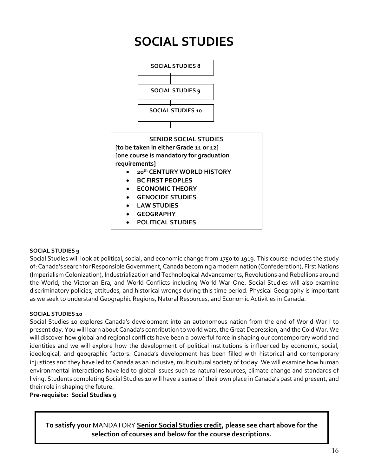<span id="page-15-0"></span>

### **SOCIAL STUDIES 9**

Social Studies will look at political, social, and economic change from 1750 to 1919. This course includes the study of: Canada's search for Responsible Government, Canada becoming a modern nation (Confederation), First Nations (Imperialism Colonization), Industrialization and Technological Advancements, Revolutions and Rebellions around the World, the Victorian Era, and World Conflicts including World War One. Social Studies will also examine discriminatory policies, attitudes, and historical wrongs during this time period. Physical Geography is important as we seek to understand Geographic Regions, Natural Resources, and Economic Activities in Canada.

### **SOCIAL STUDIES 10**

Social Studies 10 explores Canada's development into an autonomous nation from the end of World War I to present day. You will learn about Canada's contribution to world wars, the Great Depression, and the Cold War. We will discover how global and regional conflicts have been a powerful force in shaping our contemporary world and identities and we will explore how the development of political institutions is influenced by economic, social, ideological, and geographic factors. Canada's development has been filled with historical and contemporary injustices and they have led to Canada as an inclusive, multicultural society of today. We will examine how human environmental interactions have led to global issues such as natural resources, climate change and standards of living. Students completing Social Studies 10 will have a sense of their own place in Canada's past and present, and their role in shaping the future.

### **Pre-requisite: Social Studies 9**

**To satisfy your** MANDATORY **Senior Social Studies credit, please see chart above for the selection of courses and below for the course descriptions.**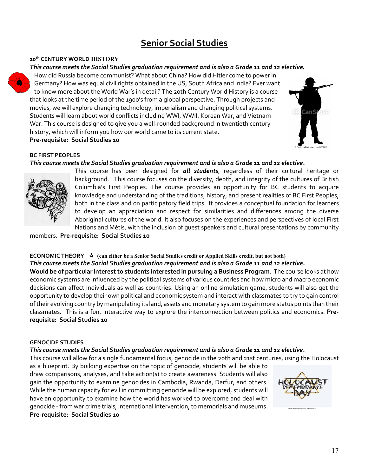# **Senior Social Studies**

### <span id="page-16-0"></span>**20th CENTURY WORLD HISTORY**

### *This course meets the Social Studies graduation requirement and is also a Grade 11 and 12 elective.*

How did Russia become communist? What about China? How did Hitler come to power in Germany? How was equal civil rights obtained in the US, South Africa and India? Ever want to know more about the World War's in detail? The 20th Century World History is a course that looks at the time period of the 1900's from a global perspective. Through projects and movies, we will explore changing technology, imperialism and changing political systems. Students will learn about world conflicts including WWI, WWII, Korean War, and Vietnam War. This course is designed to give you a well-rounded background in twentieth century history, which will inform you how our world came to its current state. **Pre-requisite: Social Studies 10**



### **BC FIRST PEOPLES**

### *This course meets the Social Studies graduation requirement and is also a Grade 11 and 12 elective.*



This course has been designed for *all students*, regardless of their cultural heritage or background. This course focuses on the diversity, depth, and integrity of the cultures of British Columbia's First Peoples. The course provides an opportunity for BC students to acquire knowledge and understanding of the traditions, history, and present realities of BC First Peoples, both in the class and on participatory field trips. It provides a conceptual foundation for learners to develop an appreciation and respect for similarities and differences among the diverse Aboriginal cultures of the world. It also focuses on the experiences and perspectives of local First Nations and Métis, with the inclusion of guest speakers and cultural presentations by community

members. **Pre-requisite: Social Studies 10**

### **ECONOMIC THEORY (can either be a Senior Social Studies credit or Applied Skills credit, but not both)** *This course meets the Social Studies graduation requirement and is also a Grade 11 and 12 elective.*

**Would be of particular interest to students interested in pursuing a Business Program**. The course looks at how economic systems are influenced by the political systems of various countries and how micro and macro economic decisions can affect individuals as well as countries. Using an online simulation game, students will also get the opportunity to develop their own political and economic system and interact with classmates to try to gain control of their evolving country by manipulating its land, assets and monetary system to gain more status points than their classmates. This is a fun, interactive way to explore the interconnection between politics and economics. **Prerequisite: Social Studies 10**

### **GENOCIDE STUDIES**

### *This course meets the Social Studies graduation requirement and is also a Grade 11 and 12 elective.*

This course will allow for a single fundamental focus, genocide in the 20th and 21st centuries, using the Holocaust

as a blueprint. By building expertise on the topic of genocide, students will be able to draw comparisons, analyses, and take action(s) to create awareness. Students will also gain the opportunity to examine genocides in Cambodia, Rwanda, Darfur, and others. While the human capacity for evil in committing genocide will be explored, students will have an opportunity to examine how the world has worked to overcome and deal with genocide - from war crime trials, international intervention, to memorials and museums. **Pre-requisite: Social Studies 10**

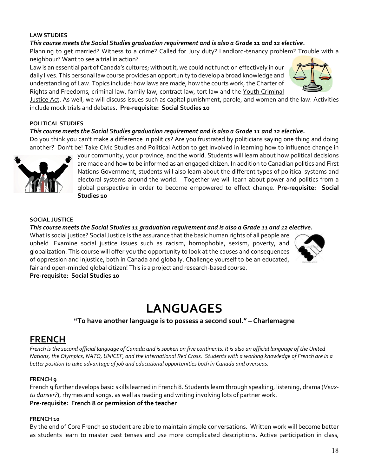### **LAW STUDIES**

### *This course meets the Social Studies graduation requirement and is also a Grade 11 and 12 elective.*

Planning to get married? Witness to a crime? Called for Jury duty? Landlord-tenancy problem? Trouble with a neighbour? Want to see a trial in action?

Law is an essential part of Canada's cultures; without it, we could not function effectively in our daily lives. This personal law course provides an opportunity to develop a broad knowledge and understanding of Law. Topics include: how laws are made, how the courts work, the Charter of Rights and Freedoms, criminal law, family law, contract law, tort law and the Youth Criminal



Justice Act. As well, we will discuss issues such as capital punishment, parole, and women and the law. Activities include mock trials and debates**. Pre-requisite: Social Studies 10**

### **POLITICAL STUDIES**

### *This course meets the Social Studies graduation requirement and is also a Grade 11 and 12 elective.*

Do you think you can't make a difference in politics? Are you frustrated by politicians saying one thing and doing another? Don't be! Take Civic Studies and Political Action to get involved in learning how to influence change in



your community, your province, and the world. Students will learn about how political decisions are made and how to be informed as an engaged citizen. In addition to Canadian politics and First Nations Government, students will also learn about the different types of political systems and electoral systems around the world. Together we will learn about power and politics from a global perspective in order to become empowered to effect change. **Pre-requisite: Social Studies 10**

### **SOCIAL JUSTICE**

### *This course meets the Social Studies 11 graduation requirement and is also a Grade 11 and 12 elective.*

What is social justice? Social Justice is the assurance that the basic human rights of all people are upheld. Examine social justice issues such as racism, homophobia, sexism, poverty, and globalization. This course will offer you the opportunity to look at the causes and consequences of oppression and injustice, both in Canada and globally. Challenge yourself to be an educated, fair and open-minded global citizen! This is a project and research-based course. **Pre-requisite: Social Studies 10**



# **LANGUAGES**

**"To have another language is to possess a second soul." – Charlemagne**

## <span id="page-17-1"></span><span id="page-17-0"></span>**FRENCH**

*French is the second official language of Canada and is spoken on five continents. It is also an official language of the United Nations, the Olympics, NATO, UNICEF, and the International Red Cross. Students with a working knowledge of French are in a better position to take advantage of job and educational opportunities both in Canada and overseas.*

### **FRENCH 9**

French 9 further develops basic skills learned in French 8. Students learn through speaking, listening, drama (*Veuxtu danser?*), rhymes and songs, as well as reading and writing involving lots of partner work. **Pre-requisite: French 8 or permission of the teacher**

### **FRENCH 10**

By the end of Core French 10 student are able to maintain simple conversations. Written work will become better as students learn to master past tenses and use more complicated descriptions. Active participation in class,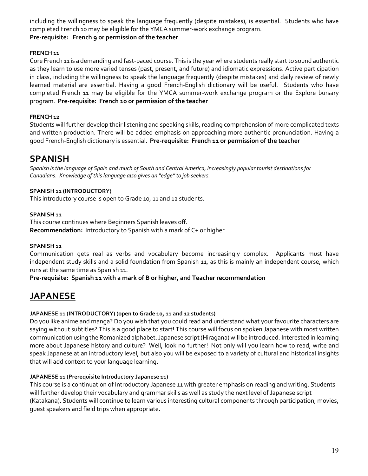including the willingness to speak the language frequently (despite mistakes), is essential. Students who have completed French 10 may be eligible for the YMCA summer-work exchange program.

### **Pre-requisite: French 9 or permission of the teacher**

### **FRENCH 11**

Core French 11 is a demanding and fast-paced course. This is the year where students really start to sound authentic as they learn to use more varied tenses (past, present, and future) and idiomatic expressions. Active participation in class, including the willingness to speak the language frequently (despite mistakes) and daily review of newly learned material are essential. Having a good French-English dictionary will be useful. Students who have completed French 11 may be eligible for the YMCA summer-work exchange program or the Explore bursary program. **Pre-requisite: French 10 or permission of the teacher**

### **FRENCH 12**

Students will further develop their listening and speaking skills, reading comprehension of more complicated texts and written production. There will be added emphasis on approaching more authentic pronunciation. Having a good French-English dictionary is essential. **Pre-requisite: French 11 or permission of the teacher**

### <span id="page-18-0"></span>**SPANISH**

*Spanish is the language of Spain and much of South and Central America, increasingly popular tourist destinations for Canadians. Knowledge of this language also gives an "edge" to job seekers.*

### **SPANISH 11 (INTRODUCTORY)**

This introductory course is open to Grade 10, 11 and 12 students.

### **SPANISH 11**

This course continues where Beginners Spanish leaves off. **Recommendation:** Introductory to Spanish with a mark of C+ or higher

### **SPANISH 12**

Communication gets real as verbs and vocabulary become increasingly complex. Applicants must have independent study skills and a solid foundation from Spanish 11, as this is mainly an independent course, which runs at the same time as Spanish 11.

**Pre-requisite: Spanish 11 with a mark of B or higher, and Teacher recommendation**

## <span id="page-18-1"></span>**JAPANESE**

### **JAPANESE 11 (INTRODUCTORY) (open to Grade 10, 11 and 12 students)**

Do you like anime and manga? Do you wish that you could read and understand what your favourite characters are saying without subtitles? This is a good place to start! This course will focus on spoken Japanese with most written communication using the Romanized alphabet.Japanese script(Hiragana) will be introduced. Interested in learning more about Japanese history and culture? Well, look no further! Not only will you learn how to read, write and speak Japanese at an introductory level, but also you will be exposed to a variety of cultural and historical insights that will add context to your language learning.

### **JAPANESE 11 (Prerequisite Introductory Japanese 11)**

This course is a continuation of Introductory Japanese 11 with greater emphasis on reading and writing. Students will further develop their vocabulary and grammar skills as well as study the next level of Japanese script (Katakana). Students will continue to learn various interesting cultural components through participation, movies, guest speakers and field trips when appropriate.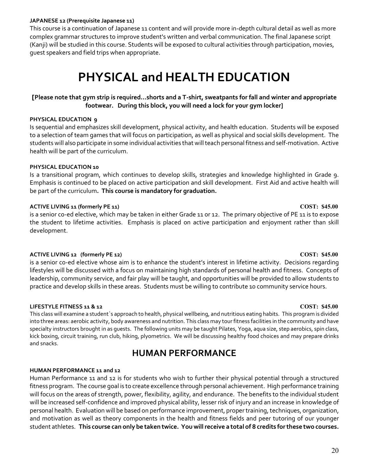### **JAPANESE 12 (Prerequisite Japanese 11)**

This course is a continuation of Japanese 11 content and will provide more in-depth cultural detail as well as more complex grammar structures to improve student's written and verbal communication. The final Japanese script (Kanji) will be studied in this course. Students will be exposed to cultural activities through participation, movies, guest speakers and field trips when appropriate.

# **PHYSICAL and HEALTH EDUCATION**

### <span id="page-19-0"></span>**[Please note that gym strip is required…shorts and a T-shirt, sweatpants for fall and winter and appropriate footwear. During this block, you will need a lock for your gym locker]**

### **PHYSICAL EDUCATION 9**

Is sequential and emphasizes skill development, physical activity, and health education. Students will be exposed to a selection of team games that will focus on participation, as well as physical and social skills development. The students will also participate in some individual activities that will teach personal fitness and self-motivation. Active health will be part of the curriculum.

### **PHYSICAL EDUCATION 10**

Is a transitional program, which continues to develop skills, strategies and knowledge highlighted in Grade 9. Emphasis is continued to be placed on active participation and skill development. First Aid and active health will be part of the curriculum**. This course is mandatory for graduation.**

### **ACTIVE LIVING 11 (formerly PE 11) COST: \$45.00**

is a senior co-ed elective, which may be taken in either Grade 11 or 12. The primary objective of PE 11 is to expose the student to lifetime activities. Emphasis is placed on active participation and enjoyment rather than skill development.

### **ACTIVE LIVING 12 (formerly PE 12) COST: \$45.00**

is a senior co-ed elective whose aim is to enhance the student's interest in lifetime activity. Decisions regarding lifestyles will be discussed with a focus on maintaining high standards of personal health and fitness. Concepts of leadership, community service, and fair play will be taught, and opportunities will be provided to allow students to practice and develop skills in these areas. Students must be willing to contribute 10 community service hours.

### **LIFESTYLE FITNESS 11 & 12 COST: \$45.00**

This class will examine a student`s approach to health, physical wellbeing, and nutritious eating habits. This program is divided into three areas: aerobic activity, body awareness and nutrition. This class may tour fitness facilities in the community and have specialty instructors brought in as guests. The following units may be taught Pilates, Yoga, aqua size, step aerobics, spin class, kick boxing, circuit training, run club, hiking, plyometrics. We will be discussing healthy food choices and may prepare drinks and snacks.

## **HUMAN PERFORMANCE**

### <span id="page-19-1"></span>**HUMAN PERFORMANCE 11 and 12**

Human Performance 11 and 12 is for students who wish to further their physical potential through a structured fitness program. The course goal is to create excellence through personal achievement. High performance training will focus on the areas of strength, power, flexibility, agility, and endurance. The benefits to the individual student will be increased self-confidence and improved physical ability, lesser risk of injury and an increase in knowledge of personal health. Evaluation will be based on performance improvement, proper training, techniques, organization, and motivation as well as theory components in the health and fitness fields and peer tutoring of our younger student athletes. **This course can only be taken twice. You will receive a total of 8 credits for these two courses.**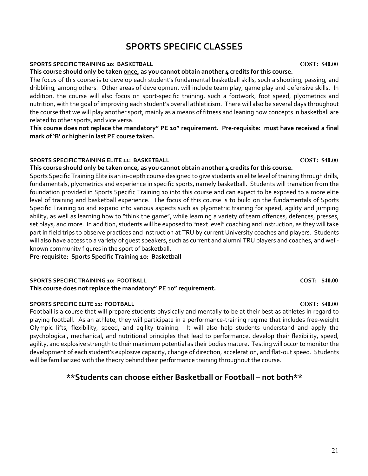# **SPORTS SPECIFIC CLASSES**

### <span id="page-20-0"></span>**SPORTS SPECIFIC TRAINING 10: BASKETBALL COST: \$40.00**

### **This course should only be taken once, as you cannot obtain another 4 credits for this course.**

The focus of this course is to develop each student's fundamental basketball skills, such a shooting, passing, and dribbling, among others. Other areas of development will include team play, game play and defensive skills. In addition, the course will also focus on sport-specific training, such a footwork, foot speed, plyometrics and nutrition, with the goal of improving each student's overall athleticism. There will also be several days throughout the course that we will play another sport, mainly as a means of fitness and leaning how concepts in basketball are related to other sports, and vice versa.

**This course does not replace the mandatory" PE 10" requirement. Pre-requisite: must have received a final mark of 'B' or higher in last PE course taken.**

### **SPORTS SPECIFIC TRAINING ELITE 11: BASKETBALL COST: \$40.00**

### **This course should only be taken once, as you cannot obtain another 4 credits for this course.**

Sports Specific Training Elite is an in-depth course designed to give students an elite level of training through drills, fundamentals, plyometrics and experience in specific sports, namely basketball. Students will transition from the foundation provided in Sports Specific Training 10 into this course and can expect to be exposed to a more elite level of training and basketball experience. The focus of this course Is to build on the fundamentals of Sports Specific Training 10 and expand into various aspects such as plyometric training for speed, agility and jumping ability, as well as learning how to "think the game", while learning a variety of team offences, defences, presses, set plays, and more. In addition, students will be exposed to "next level" coaching and instruction, as they will take part in field trips to observe practices and instruction at TRU by current University coaches and players. Students will also have access to a variety of guest speakers, such as current and alumni TRU players and coaches, and wellknown community figures in the sport of basketball.

**Pre-requisite: Sports Specific Training 10: Basketball**

### **SPORTS SPECIFIC TRAINING 10: FOOTBALL COST: \$40.00 This course does not replace the mandatory" PE 10" requirement.**

### **SPORTS SPECIFIC ELITE 11: FOOTBALL COST: \$40.00**

Football is a course that will prepare students physically and mentally to be at their best as athletes in regard to playing football. As an athlete, they will participate in a performance-training regime that includes free-weight Olympic lifts, flexibility, speed, and agility training. It will also help students understand and apply the psychological, mechanical, and nutritional principles that lead to performance, develop their flexibility, speed, agility, and explosive strength to their maximum potential as their bodies mature. Testing will occur to monitor the development of each student's explosive capacity, change of direction, acceleration, and flat-out speed. Students will be familiarized with the theory behind their performance training throughout the course.

## **\*\*Students can choose either Basketball or Football – not both\*\***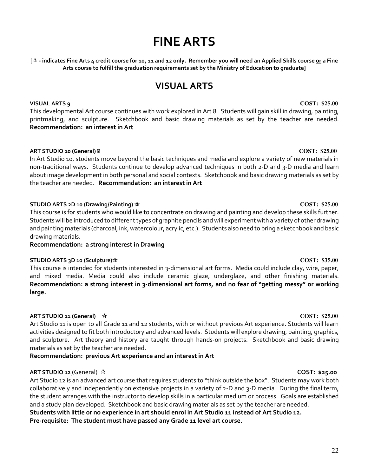# **FINE ARTS**

<span id="page-21-0"></span>[ $\hat{x}$  - indicates Fine Arts 4 credit course for 10, 11 and 12 only. Remember you will need an Applied Skills course <u>or</u> a Fine **Arts course to fulfill the graduation requirements set by the Ministry of Education to graduate]**

## **VISUAL ARTS**

### <span id="page-21-1"></span>**VISUAL ARTS 9 COST: \$25.00**

This developmental Art course continues with work explored in Art 8. Students will gain skill in drawing, painting, printmaking, and sculpture. Sketchbook and basic drawing materials as set by the teacher are needed. **Recommendation: an interest in Art**

### **ART STUDIO 10 (General) COST: \$25.00**

In Art Studio 10, students move beyond the basic techniques and media and explore a variety of new materials in non-traditional ways. Students continue to develop advanced techniques in both 2-D and 3-D media and learn about image development in both personal and social contexts. Sketchbook and basic drawing materials as set by the teacher are needed. **Recommendation: an interest in Art**

### **STUDIO ARTS 2D 10 (Drawing/Painting) COST: \$25.00**

This course is for students who would like to concentrate on drawing and painting and develop these skills further. Students will be introduced to different types of graphite pencils and will experiment with a variety of other drawing and painting materials (charcoal, ink, watercolour, acrylic, etc.). Students also need to bring a sketchbook and basic drawing materials.

**Recommendation: a strong interest in Drawing**

### **STUDIO ARTS 3D 10 (Sculpture) COST: \$35.00**

This course is intended for students interested in 3-dimensional art forms. Media could include clay, wire, paper, and mixed media. Media could also include ceramic glaze, underglaze, and other finishing materials. **Recommendation: a strong interest in 3-dimensional art forms, and no fear of "getting messy" or working large.**

### **ART STUDIO 11 (General) COST: \$25.00**

Art Studio 11 is open to all Grade 11 and 12 students, with or without previous Art experience. Students will learn activities designed to fit both introductory and advanced levels. Students will explore drawing, painting, graphics, and sculpture. Art theory and history are taught through hands-on projects. Sketchbook and basic drawing materials as set by the teacher are needed.

**Recommendation: previous Art experience and an interest in Art**

### **ART STUDIO 12** (General) **COST: \$25.00**

Art Studio 12 is an advanced art course that requires students to "think outside the box". Students may work both collaboratively and independently on extensive projects in a variety of 2-D and 3-D media. During the final term, the student arranges with the instructor to develop skills in a particular medium or process. Goals are established and a study plan developed. Sketchbook and basic drawing materials as set by the teacher are needed.

**Students with little or no experience in art should enrol in Art Studio 11 instead of Art Studio 12.**

**Pre-requisite: The student must have passed any Grade 11 level art course.**

### 22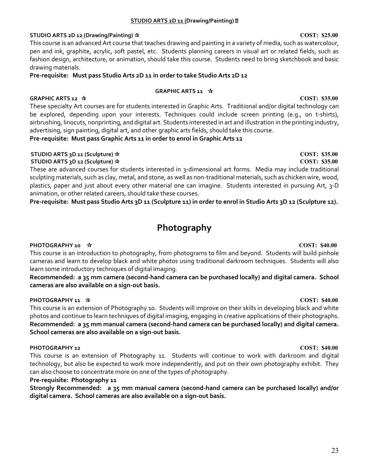### **STUDIO ARTS 2D 11 (Drawing/Painting)**

### **STUDIO ARTS 2D 12 (Drawing/Painting) COST: \$25.00**

This course is an advanced Art course that teaches drawing and painting in a variety of media, such as watercolour, pen and ink, graphite, acrylic, soft pastel, etc. Students planning careers in visual art or related fields, such as fashion design, architecture, or animation, should take this course. Students need to bring sketchbook and basic drawing materials.

**Pre-requisite: Must pass Studio Arts 2D 11 in order to take Studio Arts 2D 12**

### **GRAPHIC ARTS 11**

These specialty Art courses are for students interested in Graphic Arts. Traditional and/or digital technology can be explored, depending upon your interests. Techniques could include screen printing (e.g., on t-shirts), airbrushing, linocuts, nonprinting, and digital art. Students interested in art and illustration in the printing industry, advertising, sign painting, digital art, and other graphic arts fields, should take this course.

**Pre-requisite: Must pass Graphic Arts 11 in order to enrol in Graphic Arts 12**

### **STUDIO ARTS 3D 11 (Sculpture) COST: \$35.00 STUDIO ARTS 3D 12 (Sculpture) COST: \$35.00**

These are advanced courses for students interested in 3-dimensional art forms. Media may include traditional sculpting materials, such as clay, metal, and stone, as well as non-traditional materials, such as chicken wire, wood, plastics, paper and just about every other material one can imagine. Students interested in pursuing Art, 3-D animation, or other related careers, should take these courses.

**Pre-requisite: Must pass Studio Arts 3D 11 (Sculpture 11) in order to enrol in Studio Arts 3D 12 (Sculpture 12).**

# **Photography**

### <span id="page-22-0"></span>**PHOTOGRAPHY 10 COST: \$40.00**

This course is an introduction to photography, from photograms to film and beyond. Students will build pinhole cameras and learn to develop black and white photos using traditional darkroom techniques. Students will also learn some introductory techniques of digital imaging.

**Recommended: a 35 mm camera (second-hand camera can be purchased locally) and digital camera. School cameras are also available on a sign-out basis.**

### **PHOTOGRAPHY 11 COST: \$40.00**

This course is an extension of Photography 10. Students will improve on their skills in developing black and white photos and continue to learn techniques of digital imaging, engaging in creative applications of their photographs. **Recommended: a 35 mm manual camera (second-hand camera can be purchased locally) and digital camera. School cameras are also available on a sign-out basis.**

### **PHOTOGRAPHY 12 COST: \$40.00**

This course is an extension of Photography 11. Students will continue to work with darkroom and digital technology, but also be expected to work more independently, and put on their own photography exhibit. They can also choose to concentrate more on one of the types of photography.

### **Pre-requisite: Photography 11**

**Strongly Recommended: a 35 mm manual camera (second-hand camera can be purchased locally) and/or digital camera. School cameras are also available on a sign-out basis.**

# **GRAPHIC ARTS 12 COST: \$35.00**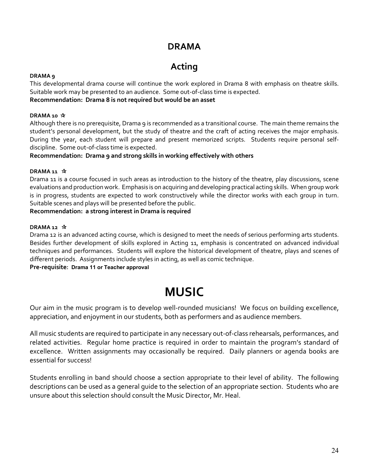## **DRAMA**

# **Acting**

### <span id="page-23-0"></span>**DRAMA 9**

This developmental drama course will continue the work explored in Drama 8 with emphasis on theatre skills. Suitable work may be presented to an audience. Some out-of-class time is expected.

**Recommendation: Drama 8 is not required but would be an asset**

### **DRAMA 10**

Although there is no prerequisite, Drama 9 is recommended as a transitional course. The main theme remains the student's personal development, but the study of theatre and the craft of acting receives the major emphasis. During the year, each student will prepare and present memorized scripts. Students require personal selfdiscipline. Some out-of-class time is expected.

**Recommendation: Drama 9 and strong skills in working effectively with others**

### **DRAMA 11**

Drama 11 is a course focused in such areas as introduction to the history of the theatre, play discussions, scene evaluations and production work. Emphasis is on acquiring and developing practical acting skills. When group work is in progress, students are expected to work constructively while the director works with each group in turn. Suitable scenes and plays will be presented before the public.

### **Recommendation: a strong interest in Drama is required**

### **DRAMA 12**

Drama 12 is an advanced acting course, which is designed to meet the needs of serious performing arts students. Besides further development of skills explored in Acting 11, emphasis is concentrated on advanced individual techniques and performances. Students will explore the historical development of theatre, plays and scenes of different periods. Assignments include styles in acting, as well as comic technique.

<span id="page-23-1"></span>**Pre-requisite: Drama 11 or Teacher approval**

# **MUSIC**

Our aim in the music program is to develop well-rounded musicians! We focus on building excellence, appreciation, and enjoyment in our students, both as performers and as audience members.

All music students are required to participate in any necessary out-of-class rehearsals, performances, and related activities. Regular home practice is required in order to maintain the program's standard of excellence. Written assignments may occasionally be required. Daily planners or agenda books are essential for success!

Students enrolling in band should choose a section appropriate to their level of ability. The following descriptions can be used as a general guide to the selection of an appropriate section. Students who are unsure about this selection should consult the Music Director, Mr. Heal.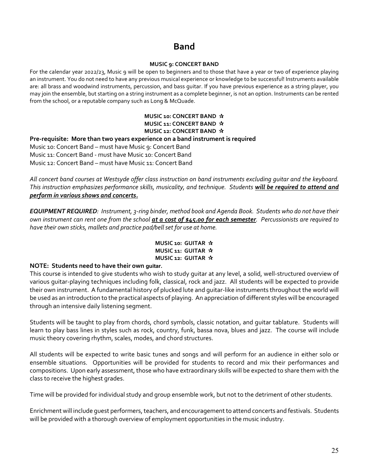# **Band**

### **MUSIC 9: CONCERT BAND**

<span id="page-24-0"></span>For the calendar year 2022/23, Music 9 will be open to beginners and to those that have a year or two of experience playing an instrument. You do not need to have any previous musical experience or knowledge to be successful! Instruments available are: all brass and woodwind instruments, percussion, and bass guitar. If you have previous experience as a string player, you may join the ensemble, but starting on a string instrument as a complete beginner, is not an option. Instruments can be rented from the school, or a reputable company such as Long & McQuade.

### **MUSIC 10: CONCERT BAND MUSIC 11: CONCERT BAND MUSIC 12: CONCERT BAND**

### **Pre-requisite: More than two years experience on a band instrument is required**

Music 10: Concert Band – must have Music 9: Concert Band Music 11: Concert Band - must have Music 10: Concert Band Music 12: Concert Band – must have Music 11: Concert Band

*All concert band courses at Westsyde offer class instruction on band instruments excluding guitar and the keyboard. This instruction emphasizes performance skills, musicality, and technique. Students will be required to attend and perform in various shows and concerts.*

*EQUIPMENT REQUIRED: Instrument, 3-ring binder, method book and Agenda Book. Students who do not have their own instrument can rent one from the school at a cost of \$45.00 for each semester. Percussionists are required to have their own sticks, mallets and practice pad/bell set for use at home.* 

### **MUSIC 10: GUITAR MUSIC 11: GUITAR MUSIC 12: GUITAR**

### **NOTE: Students need to have their own guitar.**

This course is intended to give students who wish to study guitar at any level, a solid, well-structured overview of various guitar-playing techniques including folk, classical, rock and jazz. All students will be expected to provide their own instrument. A fundamental history of plucked lute and guitar-like instruments throughout the world will be used as an introduction to the practical aspects of playing. An appreciation of different styles will be encouraged through an intensive daily listening segment.

Students will be taught to play from chords, chord symbols, classic notation, and guitar tablature. Students will learn to play bass lines in styles such as rock, country, funk, bassa nova, blues and jazz. The course will include music theory covering rhythm, scales, modes, and chord structures.

All students will be expected to write basic tunes and songs and will perform for an audience in either solo or ensemble situations. Opportunities will be provided for students to record and mix their performances and compositions. Upon early assessment, those who have extraordinary skills will be expected to share them with the class to receive the highest grades.

Time will be provided for individual study and group ensemble work, but not to the detriment of other students.

Enrichment will include guest performers, teachers, and encouragement to attend concerts and festivals. Students will be provided with a thorough overview of employment opportunities in the music industry.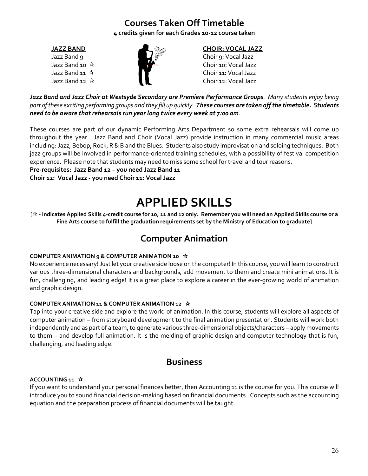# **Courses Taken Off Timetable**

**4 credits given for each Grades 10-12 course taken**



## <span id="page-25-0"></span>**JAZZ BAND CHOIR: VOCAL JAZZ**

Jazz Band 9 Choir 9: Vocal Jazz Jazz Band 10  $\sqrt{ }$  Choir 10: Vocal Jazz Jazz Band 11  $\sqrt{ }$  Choir 11: Vocal Jazz Jazz Band 12 Choir 12: Vocal Jazz

*Jazz Band and Jazz Choir at Westsyde Secondary are Premiere Performance Groups. Many students enjoy being part of these exciting performing groups and they fill up quickly. These courses are taken off the timetable. Students need to be aware that rehearsals run year long twice every week at 7:00 am.* 

These courses are part of our dynamic Performing Arts Department so some extra rehearsals will come up throughout the year. Jazz Band and Choir (Vocal Jazz) provide instruction in many commercial music areas including: Jazz, Bebop, Rock, R & B and the Blues. Students also study improvisation and soloing techniques. Both jazz groups will be involved in performance-oriented training schedules, with a possibility of festival competition experience. Please note that students may need to miss some school for travel and tour reasons.

**Pre-requisites: Jazz Band 12 – you need Jazz Band 11 Choir 12: Vocal Jazz - you need Choir 11: Vocal Jazz**

# **APPLIED SKILLS**

<span id="page-25-1"></span>[ **- indicates Applied Skills 4-credit course for 10, 11 and 12 only. Remember you will need an Applied Skills course or a Fine Arts course to fulfill the graduation requirements set by the Ministry of Education to graduate]**

# **Computer Animation**

### <span id="page-25-2"></span>**COMPUTER ANIMATION 9 & COMPUTER ANIMATION 10**

No experience necessary! Just let your creative side loose on the computer! In this course, you will learn to construct various three-dimensional characters and backgrounds, add movement to them and create mini animations. It is fun, challenging, and leading edge! It is a great place to explore a career in the ever-growing world of animation and graphic design.

### **COMPUTER ANIMATION 11 & COMPUTER ANIMATION 12**

Tap into your creative side and explore the world of animation. In this course, students will explore all aspects of computer animation – from storyboard development to the final animation presentation. Students will work both independently and as part of a team, to generate various three-dimensional objects/characters – apply movements to them – and develop full animation. It is the melding of graphic design and computer technology that is fun, challenging, and leading edge.

## **Business**

### <span id="page-25-3"></span>**ACCOUNTING 11**

If you want to understand your personal finances better, then Accounting 11 is the course for you. This course will introduce you to sound financial decision-making based on financial documents. Concepts such as the accounting equation and the preparation process of financial documents will be taught.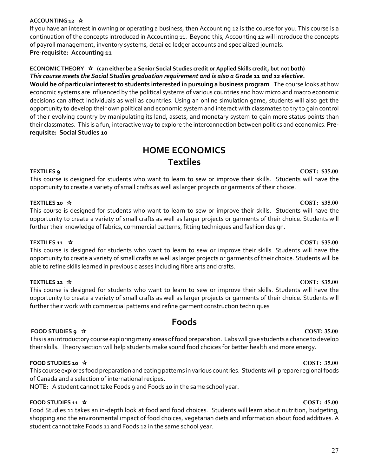### **ACCOUNTING 12**

If you have an interest in owning or operating a business, then Accounting 12 is the course for you. This course is a continuation of the concepts introduced in Accounting 11. Beyond this, Accounting 12 will introduce the concepts of payroll management, inventory systems, detailed ledger accounts and specialized journals. **Pre-requisite: Accounting 11**

### **ECONOMIC THEORY (can either be a Senior Social Studies credit or Applied Skills credit, but not both)** *This course meets the Social Studies graduation requirement and is also a Grade 11 and 12 elective.*

**Would be of particular interest to students interested in pursuing a business program**. The course looks at how economic systems are influenced by the political systems of various countries and how micro and macro economic decisions can affect individuals as well as countries. Using an online simulation game, students will also get the opportunity to develop their own political and economic system and interact with classmates to try to gain control of their evolving country by manipulating its land, assets, and monetary system to gain more status points than their classmates. This is a fun, interactive way to explore the interconnection between politics and economics. **Prerequisite: Social Studies 10**

# **HOME ECONOMICS Textiles**

## <span id="page-26-0"></span>**TEXTILES 9 COST: \$35.00**

This course is designed for students who want to learn to sew or improve their skills. Students will have the opportunity to create a variety of small crafts as well as larger projects or garments of their choice.

### **TEXTILES 10 COST: \$35.00**

This course is designed for students who want to learn to sew or improve their skills. Students will have the opportunity to create a variety of small crafts as well as larger projects or garments of their choice. Students will further their knowledge of fabrics, commercial patterns, fitting techniques and fashion design.

### **TEXTILES 11**   $\star$  **COST: \$35.00**

This course is designed for students who want to learn to sew or improve their skills. Students will have the opportunity to create a variety of small crafts as well as larger projects or garments of their choice. Students will be able to refine skills learned in previous classes including fibre arts and crafts.

### **TEXTILES 12 COST: \$35.00**

This course is designed for students who want to learn to sew or improve their skills. Students will have the opportunity to create a variety of small crafts as well as larger projects or garments of their choice. Students will further their work with commercial patterns and refine garment construction techniques

## **Foods**

### <span id="page-26-1"></span>**FOOD STUDIES 9**  $\star$  **COST: 35.00 COST: 35.00**

This is an introductory course exploring many areas of food preparation. Labs will give students a chance to develop their skills. Theory section will help students make sound food choices for better health and more energy.

### **FOOD STUDIES 10 COST: 35.00**

This course explores food preparation and eating patterns in various countries. Students will prepare regional foods of Canada and a selection of international recipes.

NOTE: A student cannot take Foods 9 and Foods 10 in the same school year.

### **FOOD STUDIES 11**  $\angle$  **<b>COST:** 45.00

Food Studies 11 takes an in-depth look at food and food choices. Students will learn about nutrition, budgeting, shopping and the environmental impact of food choices, vegetarian diets and information about food additives. A student cannot take Foods 11 and Foods 12 in the same school year.

### 27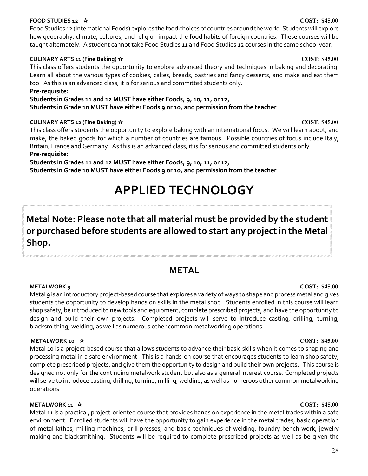### **FOOD STUDIES 12 COST: \$45.00**

Food Studies 12 (International Foods) explores the food choices of countries around the world. Students will explore how geography, climate, cultures, and religion impact the food habits of foreign countries. These courses will be taught alternately. A student cannot take Food Studies 11 and Food Studies 12 courses in the same school year.

### **CULINARY ARTS 11 (Fine Baking) COST: \$45.00**

This class offers students the opportunity to explore advanced theory and techniques in baking and decorating. Learn all about the various types of cookies, cakes, breads, pastries and fancy desserts, and make and eat them too! As this is an advanced class, it is for serious and committed students only.

### **Pre-requisite:**

**Students in Grades 11 and 12 MUST have either Foods, 9, 10, 11, or 12, Students in Grade 10 MUST have either Foods 9 or 10, and permission from the teacher**

### **CULINARY ARTS 12 (Fine Baking) COST: \$45.00**

This class offers students the opportunity to explore baking with an international focus. We will learn about, and make, the baked goods for which a number of countries are famous. Possible countries of focus include Italy, Britain, France and Germany. As this is an advanced class, it is for serious and committed students only. **Pre-requisite:** 

<span id="page-27-0"></span>**Students in Grades 11 and 12 MUST have either Foods, 9, 10, 11, or 12, Students in Grade 10 MUST have either Foods 9 or 10, and permission from the teacher**

# **APPLIED TECHNOLOGY**

# **Metal Note: Please note that all material must be provided by the student or purchased before students are allowed to start any project in the Metal Shop.**

## <span id="page-27-1"></span>**METAL**

**METALWORK 9 COST: \$45.00** Metal 9 is an introductory project-based course that explores a variety of ways to shape and process metal and gives students the opportunity to develop hands on skills in the metal shop. Students enrolled in this course will learn shop safety, be introduced to new tools and equipment, complete prescribed projects, and have the opportunity to design and build their own projects. Completed projects will serve to introduce casting, drilling, turning, blacksmithing, welding, as well as numerous other common metalworking operations.

### **METALWORK** 10  $\angle$  **2008T: 245.00**

Metal 10 is a project-based course that allows students to advance their basic skills when it comes to shaping and processing metal in a safe environment. This is a hands-on course that encourages students to learn shop safety, complete prescribed projects, and give them the opportunity to design and build their own projects. This course is designed not only for the continuing metalwork student but also as a general interest course. Completed projects will serve to introduce casting, drilling, turning, milling, welding, as well as numerous other common metalworking operations.

### **METALWORK 11**  $\hat{\mathbf{x}}$  **COST: \$45.00**

Metal 11 is a practical, project-oriented course that provides hands on experience in the metal trades within a safe environment. Enrolled students will have the opportunity to gain experience in the metal trades, basic operation of metal lathes, milling machines, drill presses, and basic techniques of welding, foundry bench work, jewelry making and blacksmithing. Students will be required to complete prescribed projects as well as be given the

### 28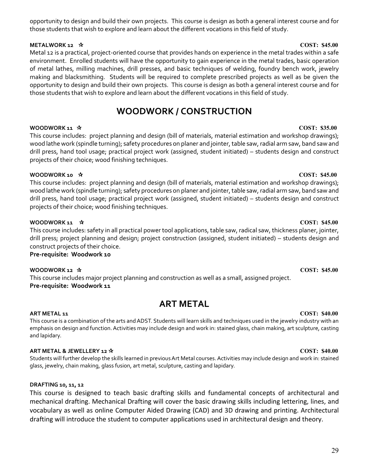### opportunity to design and build their own projects. This course is design as both a general interest course and for those students that wish to explore and learn about the different vocations in this field of study.

## **METALWORK 12 →**  $\star$  **COST: \$45.00**

Metal 12 is a practical, project-oriented course that provides hands on experience in the metal trades within a safe environment. Enrolled students will have the opportunity to gain experience in the metal trades, basic operation of metal lathes, milling machines, drill presses, and basic techniques of welding, foundry bench work, jewelry making and blacksmithing. Students will be required to complete prescribed projects as well as be given the opportunity to design and build their own projects. This course is design as both a general interest course and for those students that wish to explore and learn about the different vocations in this field of study.

# **WOODWORK / CONSTRUCTION**

## <span id="page-28-0"></span>**WOODWORK 11**  $\star$  **COST: \$35.00**

This course includes: project planning and design (bill of materials, material estimation and workshop drawings); wood lathe work (spindle turning); safety procedures on planer and jointer, table saw, radial arm saw, band saw and drill press, hand tool usage; practical project work (assigned, student initiated) – students design and construct projects of their choice; wood finishing techniques.

## **WOODWORK 10**  $\hat{\mathbf{x}}$  **15.00**

This course includes: project planning and design (bill of materials, material estimation and workshop drawings); wood lathe work (spindle turning); safety procedures on planer and jointer, table saw, radial arm saw, band saw and drill press, hand tool usage; practical project work (assigned, student initiated) – students design and construct projects of their choice; wood finishing techniques.

## **WOODWORK 11**  $\star$  **COST: \$45.00**

This course includes: safety in all practical power tool applications, table saw, radical saw, thickness planer, jointer, drill press; project planning and design; project construction (assigned, student initiated) – students design and construct projects of their choice.

**Pre-requisite: Woodwork 10**

**WOODWORK 12**  $\star$  **COST: \$45.00** This course includes major project planning and construction as well as a small, assigned project. **Pre-requisite: Woodwork 11**

# **ART METAL**

<span id="page-28-1"></span>**ART METAL 11 COST: \$40.00** This course is a combination of the arts and ADST. Students will learn skills and techniques used in the jewelry industry with an emphasis on design and function. Activities may include design and work in: stained glass, chain making, art sculpture, casting and lapidary.

## **ART METAL & JEWELLERY 12 COST: \$40.00**

Students will further develop the skills learned in previous Art Metal courses. Activities may include design and work in: stained glass, jewelry, chain making, glass fusion, art metal, sculpture, casting and lapidary.

## **DRAFTING 10, 11, 12**

This course is designed to teach basic drafting skills and fundamental concepts of architectural and mechanical drafting. Mechanical Drafting will cover the basic drawing skills including lettering, lines, and vocabulary as well as online Computer Aided Drawing (CAD) and 3D drawing and printing. Architectural drafting will introduce the student to computer applications used in architectural design and theory.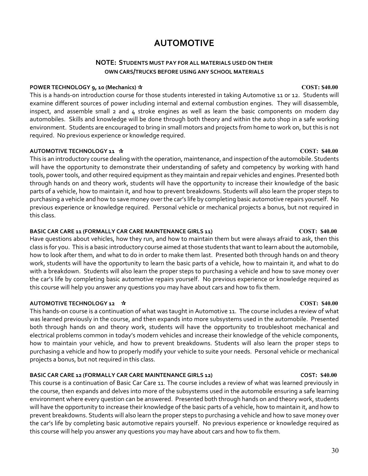# **AUTOMOTIVE**

### **NOTE: STUDENTS MUST PAY FOR ALL MATERIALS USED ON THEIR OWN CARS/TRUCKS BEFORE USING ANY SCHOOL MATERIALS**

### <span id="page-29-0"></span>**POWER TECHNOLOGY 9, 10 (Mechanics)**  $\hat{x}$   $\hat{z}$

This is a hands-on introduction course for those students interested in taking Automotive 11 or 12. Students will examine different sources of power including internal and external combustion engines. They will disassemble, inspect, and assemble small  $2$  and  $4$  stroke engines as well as learn the basic components on modern day automobiles. Skills and knowledge will be done through both theory and within the auto shop in a safe working environment. Students are encouraged to bring in small motors and projects from home to work on, but this is not required. No previous experience or knowledge required.

### **AUTOMOTIVE TECHNOLOGY 11**  $\mathbf{\hat{x}}$

This is an introductory course dealing with the operation, maintenance, and inspection of the automobile. Students will have the opportunity to demonstrate their understanding of safety and competency by working with hand tools, power tools, and other required equipment as they maintain and repair vehicles and engines. Presented both through hands on and theory work, students will have the opportunity to increase their knowledge of the basic parts of a vehicle, how to maintain it, and how to prevent breakdowns. Students will also learn the proper steps to purchasing a vehicle and how to save money over the car's life by completing basic automotive repairs yourself. No previous experience or knowledge required. Personal vehicle or mechanical projects a bonus, but not required in this class.

### **BASIC CAR CARE 11 (FORMALLY CAR CARE MAINTENANCE GIRLS 11) COST: \$40.00**

Have questions about vehicles, how they run, and how to maintain them but were always afraid to ask, then this class is for you. This is a basic introductory course aimed at those students that want to learn about the automobile, how to look after them, and what to do in order to make them last. Presented both through hands on and theory work, students will have the opportunity to learn the basic parts of a vehicle, how to maintain it, and what to do with a breakdown. Students will also learn the proper steps to purchasing a vehicle and how to save money over the car's life by completing basic automotive repairs yourself. No previous experience or knowledge required as this course will help you answer any questions you may have about cars and how to fix them.

### **AUTOMOTIVE TECHNOLOGY 12 COST: \$40.00**

This hands-on course is a continuation of what was taught in Automotive 11. The course includes a review of what was learned previously in the course, and then expands into more subsystems used in the automobile. Presented both through hands on and theory work, students will have the opportunity to troubleshoot mechanical and electrical problems common in today's modern vehicles and increase their knowledge of the vehicle components, how to maintain your vehicle, and how to prevent breakdowns. Students will also learn the proper steps to purchasing a vehicle and how to properly modify your vehicle to suite your needs. Personal vehicle or mechanical projects a bonus, but not required in this class.

### **BASIC CAR CARE 12 (FORMALLY CAR CARE MAINTENANCE GIRLS 12) COST: \$40.00**

This course is a continuation of Basic Car Care 11. The course includes a review of what was learned previously in the course, then expands and delves into more of the subsystems used in the automobile ensuring a safe learning environment where every question can be answered. Presented both through hands on and theory work, students will have the opportunity to increase their knowledge of the basic parts of a vehicle, how to maintain it, and how to prevent breakdowns. Students will also learn the proper steps to purchasing a vehicle and how to save money over the car's life by completing basic automotive repairs yourself. No previous experience or knowledge required as this course will help you answer any questions you may have about cars and how to fix them.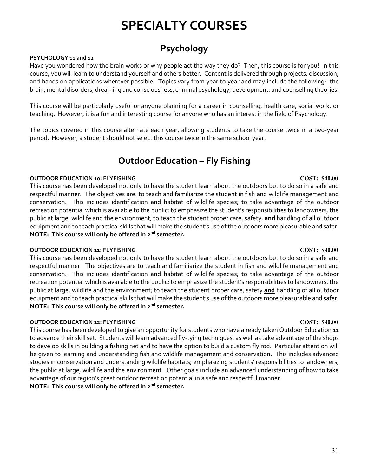# **SPECIALTY COURSES**

# **Psychology**

### <span id="page-30-0"></span>**PSYCHOLOGY 11 and 12**

Have you wondered how the brain works or why people act the way they do? Then, this course is for you! In this course, you will learn to understand yourself and others better. Content is delivered through projects, discussion, and hands on applications wherever possible. Topics vary from year to year and may include the following: the brain, mental disorders, dreaming and consciousness, criminal psychology, development, and counselling theories.

This course will be particularly useful or anyone planning for a career in counselling, health care, social work, or teaching. However, it is a fun and interesting course for anyone who has an interest in the field of Psychology.

The topics covered in this course alternate each year, allowing students to take the course twice in a two-year period. However, a student should not select this course twice in the same school year.

# **Outdoor Education – Fly Fishing**

### <span id="page-30-1"></span>**OUTDOOR EDUCATION 10: FLYFISHING COST: \$40.00**

This course has been developed not only to have the student learn about the outdoors but to do so in a safe and respectful manner. The objectives are: to teach and familiarize the student in fish and wildlife management and conservation. This includes identification and habitat of wildlife species; to take advantage of the outdoor recreation potential which is available to the public; to emphasize the student's responsibilities to landowners, the public at large, wildlife and the environment; to teach the student proper care, safety, **and** handling of all outdoor equipment and to teach practical skills that will make the student's use of the outdoors more pleasurable and safer. **NOTE: This course will only be offered in 2nd semester.**

### **OUTDOOR EDUCATION 11: FLYFISHING COST: \$40.00**

This course has been developed not only to have the student learn about the outdoors but to do so in a safe and respectful manner. The objectives are to teach and familiarize the student in fish and wildlife management and conservation. This includes identification and habitat of wildlife species; to take advantage of the outdoor recreation potential which is available to the public; to emphasize the student's responsibilities to landowners, the public at large, wildlife and the environment; to teach the student proper care, safety **and** handling of all outdoor equipment and to teach practical skills that will make the student's use of the outdoors more pleasurable and safer. **NOTE: This course will only be offered in 2nd semester.**

### **OUTDOOR EDUCATION 12: FLYFISHING COST: \$40.00**

This course has been developed to give an opportunity for students who have already taken Outdoor Education 11 to advance their skill set. Students will learn advanced fly-tying techniques, as well as take advantage of the shops to develop skills in building a fishing net and to have the option to build a custom fly rod. Particular attention will be given to learning and understanding fish and wildlife management and conservation. This includes advanced studies in conservation and understanding wildlife habitats; emphasizing students' responsibilities to landowners, the public at large, wildlife and the environment. Other goals include an advanced understanding of how to take advantage of our region's great outdoor recreation potential in a safe and respectful manner. **NOTE: This course will only be offered in 2nd semester.**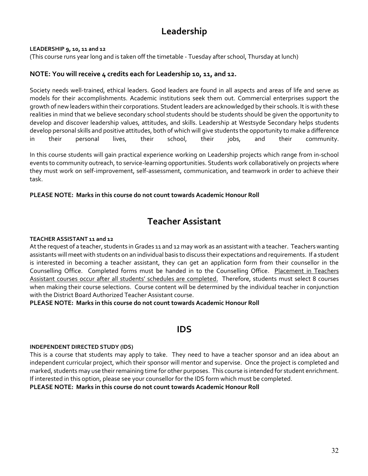# **Leadership**

### <span id="page-31-0"></span>**LEADERSHIP 9, 10, 11 and 12**

(This course runs year long and is taken off the timetable - Tuesday after school, Thursday at lunch)

### **NOTE: You will receive 4 credits each for Leadership 10, 11, and 12.**

Society needs well-trained, ethical leaders. Good leaders are found in all aspects and areas of life and serve as models for their accomplishments. Academic institutions seek them out. Commercial enterprises support the growth of new leaders within their corporations. Student leaders are acknowledged by their schools. It is with these realities in mind that we believe secondary school students should be students should be given the opportunity to develop and discover leadership values, attitudes, and skills. Leadership at Westsyde Secondary helps students develop personal skills and positive attitudes, both of which will give students the opportunity to make a difference in their personal lives, their school, their jobs, and their community.

In this course students will gain practical experience working on Leadership projects which range from in-school events to community outreach, to service-learning opportunities. Students work collaboratively on projects where they must work on self-improvement, self-assessment, communication, and teamwork in order to achieve their task.

### **PLEASE NOTE: Marks in this course do not count towards Academic Honour Roll**

## **Teacher Assistant**

### <span id="page-31-1"></span>**TEACHER ASSISTANT 11 and 12**

At the request of a teacher, students in Grades 11 and 12 may work as an assistant with a teacher. Teachers wanting assistants will meet with students on an individual basis to discuss their expectations and requirements. If a student is interested in becoming a teacher assistant, they can get an application form from their counsellor in the Counselling Office. Completed forms must be handed in to the Counselling Office. Placement in Teachers Assistant courses occur after all students' schedules are completed. Therefore, students must select 8 courses when making their course selections. Course content will be determined by the individual teacher in conjunction with the District Board Authorized Teacher Assistant course.

**PLEASE NOTE: Marks in this course do not count towards Academic Honour Roll**

## **IDS**

### <span id="page-31-2"></span>**INDEPENDENT DIRECTED STUDY (IDS)**

This is a course that students may apply to take. They need to have a teacher sponsor and an idea about an independent curricular project, which their sponsor will mentor and supervise. Once the project is completed and marked, students may use their remaining time for other purposes. This course is intended for student enrichment. If interested in this option, please see your counsellor for the IDS form which must be completed.

**PLEASE NOTE: Marks in this course do not count towards Academic Honour Roll**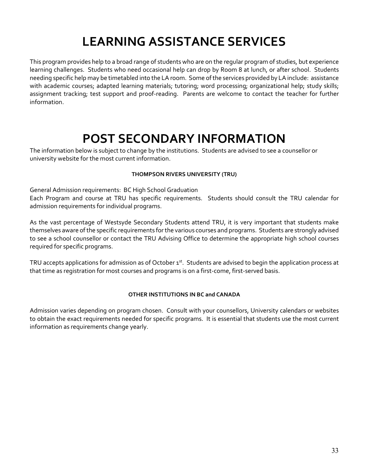# **LEARNING ASSISTANCE SERVICES**

<span id="page-32-0"></span>This program provides help to a broad range of students who are on the regular program of studies, but experience learning challenges. Students who need occasional help can drop by Room 8 at lunch, or after school. Students needing specific help may be timetabled into the LA room. Some of the services provided by LA include: assistance with academic courses; adapted learning materials; tutoring; word processing; organizational help; study skills; assignment tracking; test support and proof-reading. Parents are welcome to contact the teacher for further information.

# **POST SECONDARY INFORMATION**

<span id="page-32-1"></span>The information below is subject to change by the institutions. Students are advised to see a counsellor or university website for the most current information.

### **THOMPSON RIVERS UNIVERSITY (TRU)**

General Admission requirements: BC High School Graduation

Each Program and course at TRU has specific requirements. Students should consult the TRU calendar for admission requirements for individual programs.

As the vast percentage of Westsyde Secondary Students attend TRU, it is very important that students make themselves aware of the specific requirements for the various courses and programs. Students are strongly advised to see a school counsellor or contact the TRU Advising Office to determine the appropriate high school courses required for specific programs.

TRU accepts applications for admission as of October 1<sup>st</sup>. Students are advised to begin the application process at that time as registration for most courses and programs is on a first-come, first-served basis.

### **OTHER INSTITUTIONS IN BC and CANADA**

Admission varies depending on program chosen. Consult with your counsellors, University calendars or websites to obtain the exact requirements needed for specific programs. It is essential that students use the most current information as requirements change yearly.